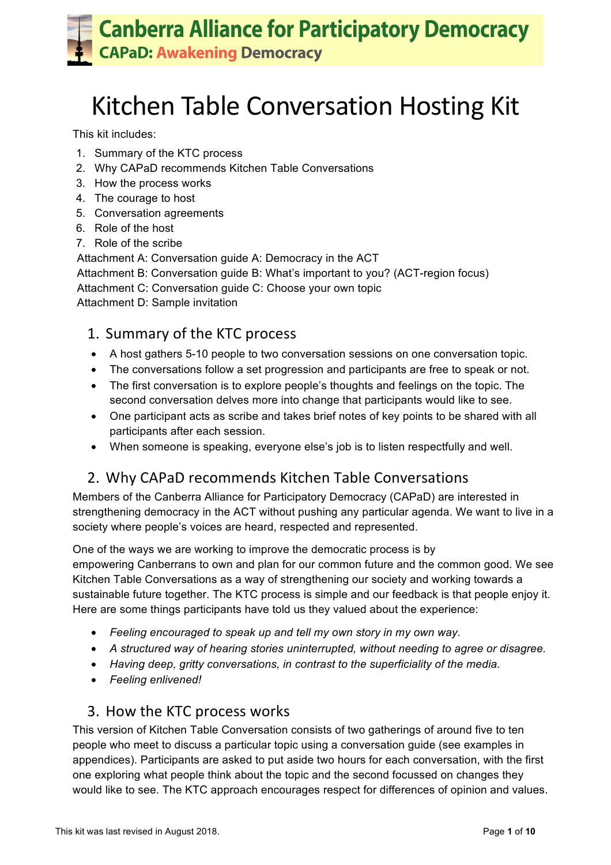# **Kitchen Table Conversation Hosting Kit**

This kit includes:

- 1. Summary of the KTC process
- 2. Why CAPaD recommends Kitchen Table Conversations
- 3. How the process works
- 4. The courage to host
- 5. Conversation agreements
- 6. Role of the host
- 7. Role of the scribe

Attachment A: Conversation guide A: Democracy in the ACT Attachment B: Conversation guide B: What's important to you? (ACT-region focus) Attachment C: Conversation guide C: Choose your own topic Attachment D: Sample invitation

### 1. Summary of the KTC process

- A host gathers 5-10 people to two conversation sessions on one conversation topic.
- The conversations follow a set progression and participants are free to speak or not.
- The first conversation is to explore people's thoughts and feelings on the topic. The second conversation delves more into change that participants would like to see.
- One participant acts as scribe and takes brief notes of key points to be shared with all participants after each session.
- When someone is speaking, everyone else's job is to listen respectfully and well.

### 2. Why CAPaD recommends Kitchen Table Conversations

Members of the Canberra Alliance for Participatory Democracy (CAPaD) are interested in strengthening democracy in the ACT without pushing any particular agenda. We want to live in a society where people's voices are heard, respected and represented.

One of the ways we are working to improve the democratic process is by empowering Canberrans to own and plan for our common future and the common good. We see Kitchen Table Conversations as a way of strengthening our society and working towards a sustainable future together. The KTC process is simple and our feedback is that people enjoy it. Here are some things participants have told us they valued about the experience:

- *Feeling encouraged to speak up and tell my own story in my own way.*
- *A structured way of hearing stories uninterrupted, without needing to agree or disagree.*
- *Having deep, gritty conversations, in contrast to the superficiality of the media.*
- *Feeling enlivened!*

### 3. How the KTC process works

This version of Kitchen Table Conversation consists of two gatherings of around five to ten people who meet to discuss a particular topic using a conversation guide (see examples in appendices). Participants are asked to put aside two hours for each conversation, with the first one exploring what people think about the topic and the second focussed on changes they would like to see. The KTC approach encourages respect for differences of opinion and values.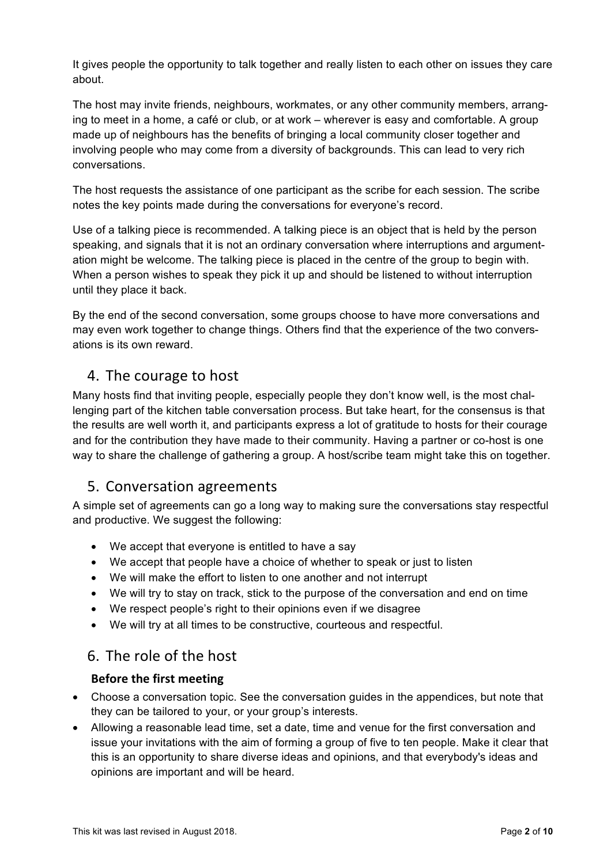It gives people the opportunity to talk together and really listen to each other on issues they care about.

The host may invite friends, neighbours, workmates, or any other community members, arranging to meet in a home, a café or club, or at work – wherever is easy and comfortable. A group made up of neighbours has the benefits of bringing a local community closer together and involving people who may come from a diversity of backgrounds. This can lead to very rich conversations.

The host requests the assistance of one participant as the scribe for each session. The scribe notes the key points made during the conversations for everyone's record.

Use of a talking piece is recommended. A talking piece is an object that is held by the person speaking, and signals that it is not an ordinary conversation where interruptions and argumentation might be welcome. The talking piece is placed in the centre of the group to begin with. When a person wishes to speak they pick it up and should be listened to without interruption until they place it back.

By the end of the second conversation, some groups choose to have more conversations and may even work together to change things. Others find that the experience of the two conversations is its own reward.

### 4. The courage to host

Many hosts find that inviting people, especially people they don't know well, is the most challenging part of the kitchen table conversation process. But take heart, for the consensus is that the results are well worth it, and participants express a lot of gratitude to hosts for their courage and for the contribution they have made to their community. Having a partner or co-host is one way to share the challenge of gathering a group. A host/scribe team might take this on together.

### 5. Conversation agreements

A simple set of agreements can go a long way to making sure the conversations stay respectful and productive. We suggest the following:

- We accept that everyone is entitled to have a say
- We accept that people have a choice of whether to speak or just to listen
- We will make the effort to listen to one another and not interrupt
- We will try to stay on track, stick to the purpose of the conversation and end on time
- We respect people's right to their opinions even if we disagree
- We will try at all times to be constructive, courteous and respectful.

### 6. The role of the host

#### **Before the first meeting**

- Choose a conversation topic. See the conversation guides in the appendices, but note that they can be tailored to your, or your group's interests.
- Allowing a reasonable lead time, set a date, time and venue for the first conversation and issue your invitations with the aim of forming a group of five to ten people. Make it clear that this is an opportunity to share diverse ideas and opinions, and that everybody's ideas and opinions are important and will be heard.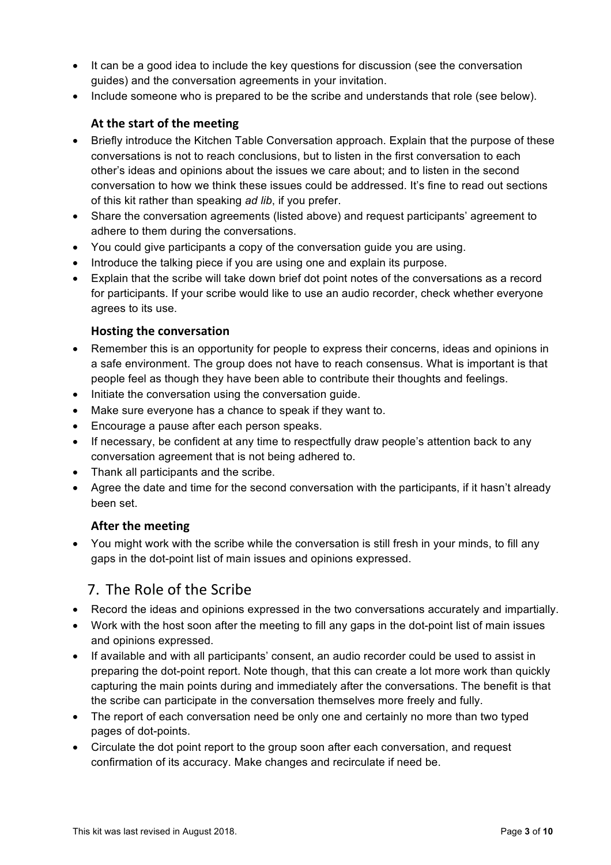- It can be a good idea to include the key questions for discussion (see the conversation guides) and the conversation agreements in your invitation.
- Include someone who is prepared to be the scribe and understands that role (see below).

#### At the start of the meeting

- Briefly introduce the Kitchen Table Conversation approach. Explain that the purpose of these conversations is not to reach conclusions, but to listen in the first conversation to each other's ideas and opinions about the issues we care about; and to listen in the second conversation to how we think these issues could be addressed. It's fine to read out sections of this kit rather than speaking *ad lib*, if you prefer.
- Share the conversation agreements (listed above) and request participants' agreement to adhere to them during the conversations.
- You could give participants a copy of the conversation guide you are using.
- Introduce the talking piece if you are using one and explain its purpose.
- Explain that the scribe will take down brief dot point notes of the conversations as a record for participants. If your scribe would like to use an audio recorder, check whether everyone agrees to its use.

#### **Hosting the conversation**

- Remember this is an opportunity for people to express their concerns, ideas and opinions in a safe environment. The group does not have to reach consensus. What is important is that people feel as though they have been able to contribute their thoughts and feelings.
- Initiate the conversation using the conversation guide.
- Make sure everyone has a chance to speak if they want to.
- Encourage a pause after each person speaks.
- If necessary, be confident at any time to respectfully draw people's attention back to any conversation agreement that is not being adhered to.
- Thank all participants and the scribe.
- Agree the date and time for the second conversation with the participants, if it hasn't already been set.

#### **After the meeting**

• You might work with the scribe while the conversation is still fresh in your minds, to fill any gaps in the dot-point list of main issues and opinions expressed.

### 7. The Role of the Scribe

- Record the ideas and opinions expressed in the two conversations accurately and impartially.
- Work with the host soon after the meeting to fill any gaps in the dot-point list of main issues and opinions expressed.
- If available and with all participants' consent, an audio recorder could be used to assist in preparing the dot-point report. Note though, that this can create a lot more work than quickly capturing the main points during and immediately after the conversations. The benefit is that the scribe can participate in the conversation themselves more freely and fully.
- The report of each conversation need be only one and certainly no more than two typed pages of dot-points.
- Circulate the dot point report to the group soon after each conversation, and request confirmation of its accuracy. Make changes and recirculate if need be.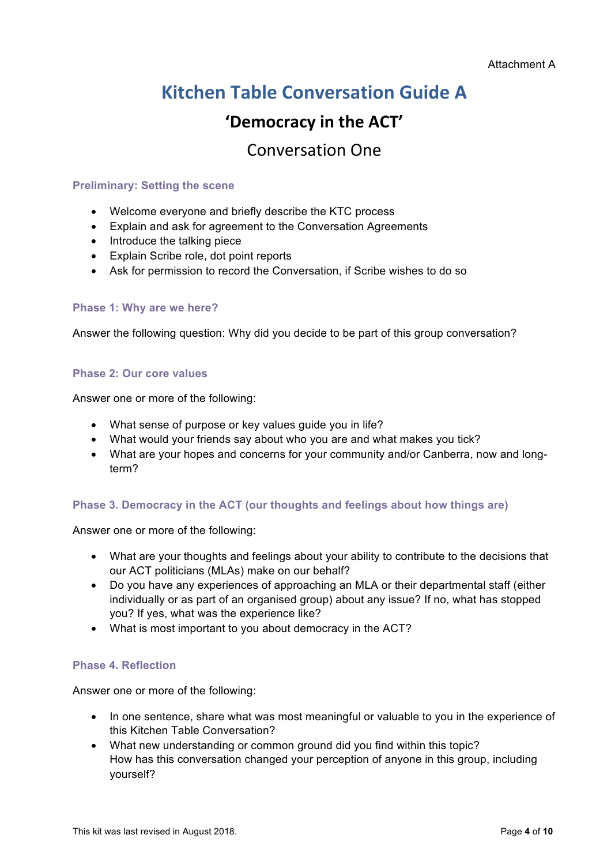## **Kitchen Table Conversation Guide A**

## 'Democracy in the ACT'

## Conversation One

#### **Preliminary: Setting the scene**

- Welcome everyone and briefly describe the KTC process
- Explain and ask for agreement to the Conversation Agreements
- Introduce the talking piece
- Explain Scribe role, dot point reports
- Ask for permission to record the Conversation, if Scribe wishes to do so

#### **Phase 1: Why are we here?**

Answer the following question: Why did you decide to be part of this group conversation?

#### **Phase 2: Our core values**

Answer one or more of the following:

- What sense of purpose or key values guide you in life?
- What would your friends say about who you are and what makes you tick?
- What are your hopes and concerns for your community and/or Canberra, now and longterm?

#### **Phase 3. Democracy in the ACT (our thoughts and feelings about how things are)**

Answer one or more of the following:

- What are your thoughts and feelings about your ability to contribute to the decisions that our ACT politicians (MLAs) make on our behalf?
- Do you have any experiences of approaching an MLA or their departmental staff (either individually or as part of an organised group) about any issue? If no, what has stopped you? If yes, what was the experience like?
- What is most important to you about democracy in the ACT?

#### **Phase 4. Reflection**

- In one sentence, share what was most meaningful or valuable to you in the experience of this Kitchen Table Conversation?
- What new understanding or common ground did you find within this topic? How has this conversation changed your perception of anyone in this group, including yourself?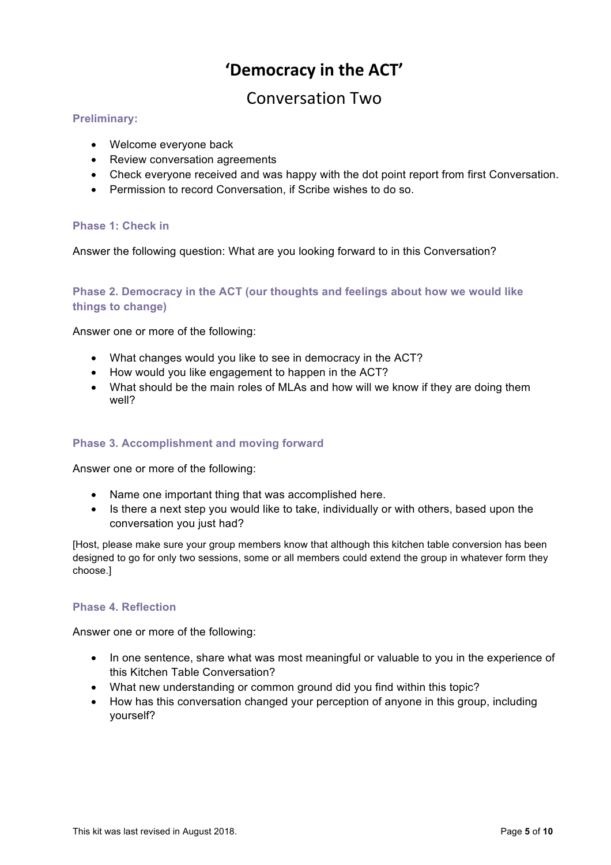## **'Democracy in the ACT'**

## Conversation Two

#### **Preliminary:**

- Welcome everyone back
- Review conversation agreements
- Check everyone received and was happy with the dot point report from first Conversation.
- Permission to record Conversation, if Scribe wishes to do so.

#### **Phase 1: Check in**

Answer the following question: What are you looking forward to in this Conversation?

#### **Phase 2. Democracy in the ACT (our thoughts and feelings about how we would like things to change)**

Answer one or more of the following:

- What changes would you like to see in democracy in the ACT?
- How would you like engagement to happen in the ACT?
- What should be the main roles of MLAs and how will we know if they are doing them well?

#### **Phase 3. Accomplishment and moving forward**

Answer one or more of the following:

- Name one important thing that was accomplished here.
- Is there a next step you would like to take, individually or with others, based upon the conversation you just had?

[Host, please make sure your group members know that although this kitchen table conversion has been designed to go for only two sessions, some or all members could extend the group in whatever form they choose.]

#### **Phase 4. Reflection**

- In one sentence, share what was most meaningful or valuable to you in the experience of this Kitchen Table Conversation?
- What new understanding or common ground did you find within this topic?
- How has this conversation changed your perception of anyone in this group, including yourself?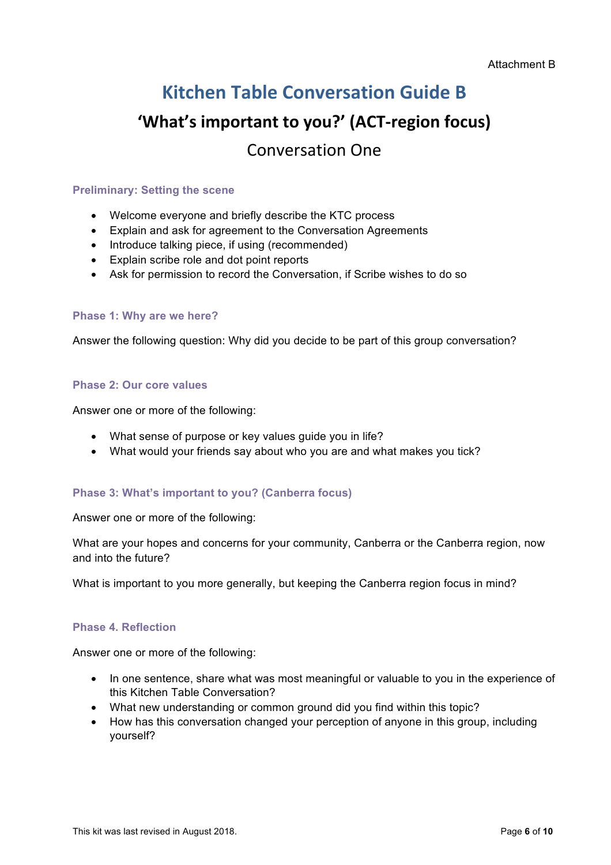## **Kitchen Table Conversation Guide B**

## **'What's important to you?' (ACT-region focus)** Conversation One

#### **Preliminary: Setting the scene**

- Welcome everyone and briefly describe the KTC process
- Explain and ask for agreement to the Conversation Agreements
- Introduce talking piece, if using (recommended)
- Explain scribe role and dot point reports
- Ask for permission to record the Conversation, if Scribe wishes to do so

#### **Phase 1: Why are we here?**

Answer the following question: Why did you decide to be part of this group conversation?

#### **Phase 2: Our core values**

Answer one or more of the following:

- What sense of purpose or key values guide you in life?
- What would your friends say about who you are and what makes you tick?

#### **Phase 3: What's important to you? (Canberra focus)**

Answer one or more of the following:

What are your hopes and concerns for your community, Canberra or the Canberra region, now and into the future?

What is important to you more generally, but keeping the Canberra region focus in mind?

#### **Phase 4. Reflection**

- In one sentence, share what was most meaningful or valuable to you in the experience of this Kitchen Table Conversation?
- What new understanding or common ground did you find within this topic?
- How has this conversation changed your perception of anyone in this group, including yourself?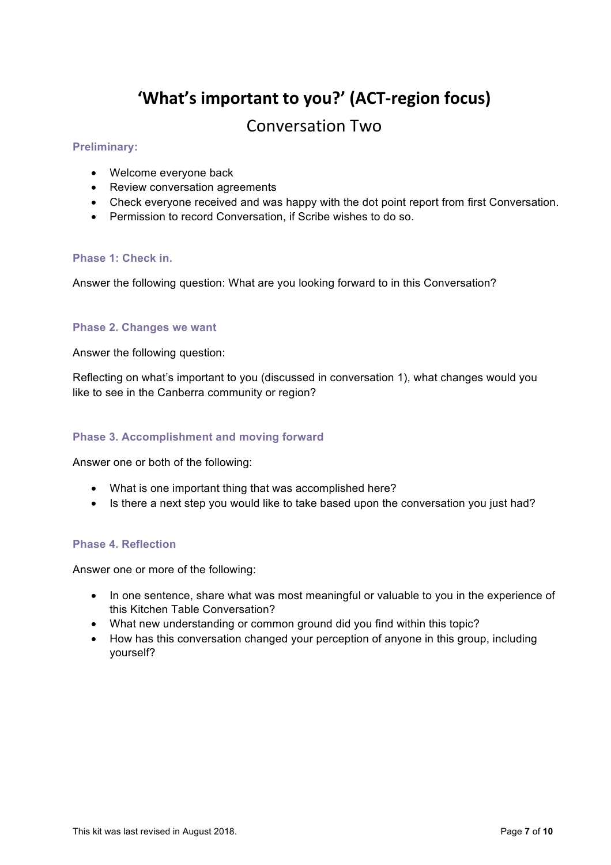## 'What's important to you?' (ACT-region focus)

## Conversation Two

#### **Preliminary:**

- Welcome everyone back
- Review conversation agreements
- Check everyone received and was happy with the dot point report from first Conversation.
- Permission to record Conversation, if Scribe wishes to do so.

#### **Phase 1: Check in.**

Answer the following question: What are you looking forward to in this Conversation?

#### **Phase 2. Changes we want**

Answer the following question:

Reflecting on what's important to you (discussed in conversation 1), what changes would you like to see in the Canberra community or region?

#### **Phase 3. Accomplishment and moving forward**

Answer one or both of the following:

- What is one important thing that was accomplished here?
- Is there a next step you would like to take based upon the conversation you just had?

#### **Phase 4. Reflection**

- In one sentence, share what was most meaningful or valuable to you in the experience of this Kitchen Table Conversation?
- What new understanding or common ground did you find within this topic?
- How has this conversation changed your perception of anyone in this group, including yourself?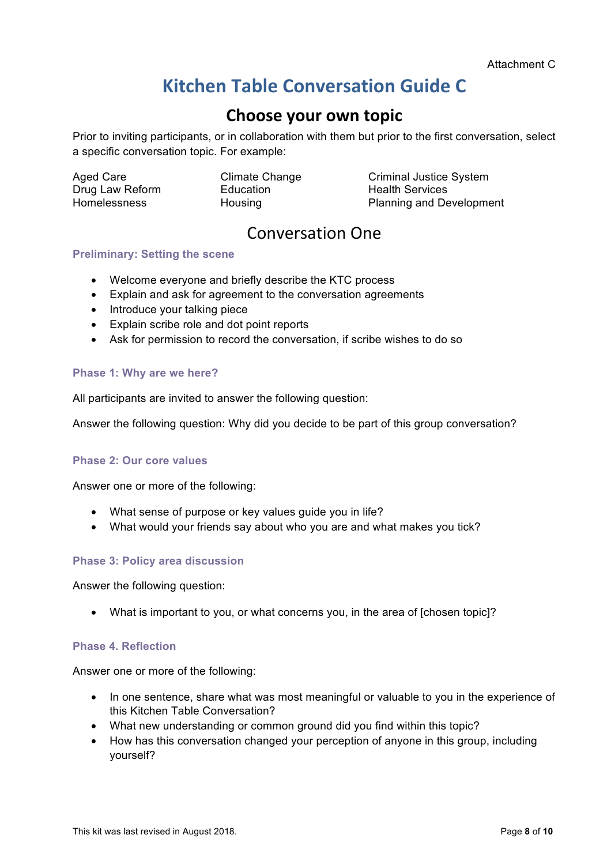## **Kitchen Table Conversation Guide C**

## **Choose your own topic**

Prior to inviting participants, or in collaboration with them but prior to the first conversation, select a specific conversation topic. For example:

Aged Care<br>Drug Law Reform Education Health Services<br>Dianning and De

Aged Care **Climate Change** Criminal Justice System Homelessness **Housing Planning and Development** 

## Conversation One

#### **Preliminary: Setting the scene**

- Welcome everyone and briefly describe the KTC process
- Explain and ask for agreement to the conversation agreements
- Introduce your talking piece
- Explain scribe role and dot point reports
- Ask for permission to record the conversation, if scribe wishes to do so

#### **Phase 1: Why are we here?**

All participants are invited to answer the following question:

Answer the following question: Why did you decide to be part of this group conversation?

#### **Phase 2: Our core values**

Answer one or more of the following:

- What sense of purpose or key values guide you in life?
- What would your friends say about who you are and what makes you tick?

#### **Phase 3: Policy area discussion**

Answer the following question:

• What is important to you, or what concerns you, in the area of [chosen topic]?

#### **Phase 4. Reflection**

- In one sentence, share what was most meaningful or valuable to you in the experience of this Kitchen Table Conversation?
- What new understanding or common ground did you find within this topic?
- How has this conversation changed your perception of anyone in this group, including yourself?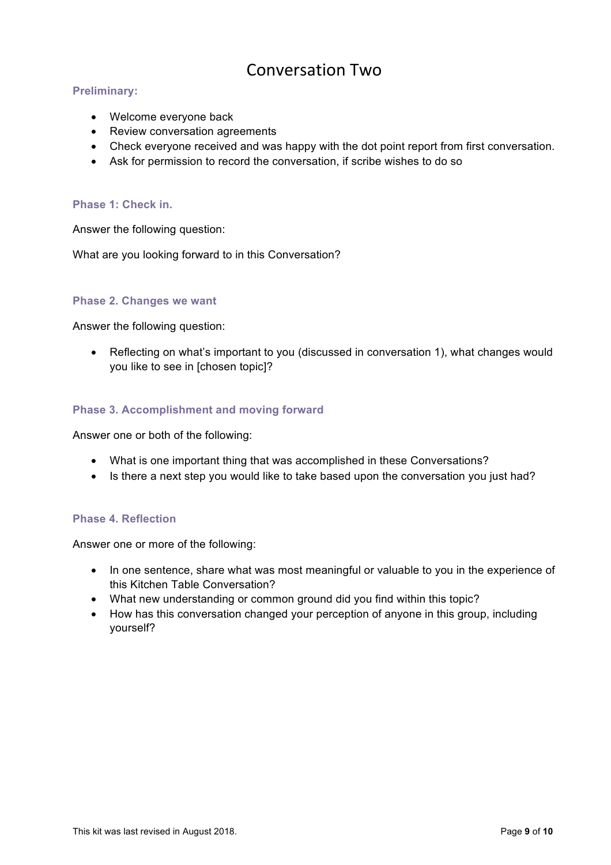## Conversation Two

#### **Preliminary:**

- Welcome everyone back
- Review conversation agreements
- Check everyone received and was happy with the dot point report from first conversation.
- Ask for permission to record the conversation, if scribe wishes to do so

#### **Phase 1: Check in.**

Answer the following question:

What are you looking forward to in this Conversation?

#### **Phase 2. Changes we want**

Answer the following question:

• Reflecting on what's important to you (discussed in conversation 1), what changes would you like to see in [chosen topic]?

#### **Phase 3. Accomplishment and moving forward**

Answer one or both of the following:

- What is one important thing that was accomplished in these Conversations?
- Is there a next step you would like to take based upon the conversation you just had?

#### **Phase 4. Reflection**

- In one sentence, share what was most meaningful or valuable to you in the experience of this Kitchen Table Conversation?
- What new understanding or common ground did you find within this topic?
- How has this conversation changed your perception of anyone in this group, including yourself?